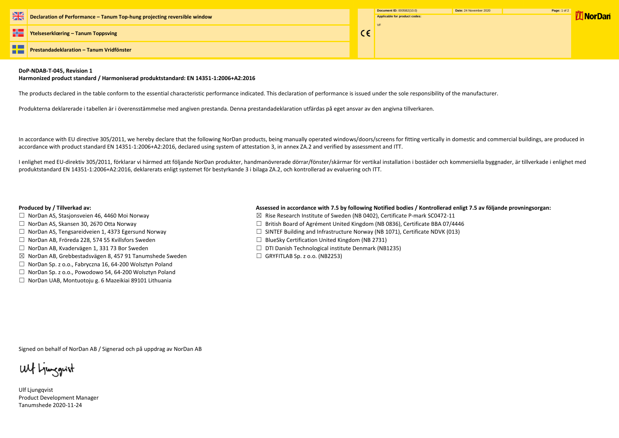| 米   | Declaration of Performance - Tanum Top-hung projecting reversible window | Document ID: 0005B2(10.0)<br>Applicable for product codes: | Date: 24 M |
|-----|--------------------------------------------------------------------------|------------------------------------------------------------|------------|
| HS. | Ytelseserklæring – Tanum Toppsving                                       |                                                            |            |
| FĦ  | <b>Prestandadeklaration - Tanum Vridfönster</b>                          |                                                            |            |

### **DoP-NDAB-T-045, Revision 1**

### **Harmonized product standard / Harmoniserad produktstandard: EN 14351-1:2006+A2:2016**

The products declared in the table conform to the essential characteristic performance indicated. This declaration of performance is issued under the sole responsibility of the manufacturer.

Produkterna deklarerade i tabellen är i överensstämmelse med angiven prestanda. Denna prestandadeklaration utfärdas på eget ansvar av den angivna tillverkaren.

In accordance with EU directive 305/2011, we hereby declare that the following NorDan products, being manually operated windows/doors/screens for fitting vertically in domestic and commercial buildings, are produced in accordance with product standard EN 14351-1:2006+A2:2016, declared using system of attestation 3, in annex ZA.2 and verified by assessment and ITT.

- □ NorDan AS, Stasjonsveien 46, 4460 Moi Norway  $□$  Norman Manuson  $□$  Rise Research Institute of Sweden (NB 0402), Certificate P-mark SC0472-11
- ☐ NorDan AS, Skansen 30, 2670 Otta Norway ☐ British Board of Agrément United Kingdom (NB 0836), Certificate BBA 07/4446
- ☐ NorDan AS, Tengsareidveien 1, 4373 Egersund Norway ☐ SINTEF Building and Infrastructure Norway (NB 1071), Certificate NDVK (013)
	-
- ☐ NorDan AB, Kvadervägen 1, 331 73 Bor Sweden ☐ DTI Danish Technological institute Denmark (NB1235)
	-

I enlighet med EU-direktiv 305/2011, förklarar vi härmed att följande NorDan produkter, handmanövrerade dörrar/fönster/skärmar för vertikal installation i bostäder och kommersiella byggnader, är tillverkade i enlighet med produktstandard EN 14351-1:2006+A2:2016, deklarerats enligt systemet för bestyrkande 3 i bilaga ZA.2, och kontrollerad av evaluering och ITT.

## **Produced by / Tillverkad av: Assessed in accordance with 7.5 by following Notified bodies / Kontrollerad enligt 7.5 av följande provningsorgan:**

- 
- 
- 
- ☐ NorDan AB, Fröreda 228, 574 55 Kvillsfors Sweden ☐ BlueSky Certification United Kingdom (NB 2731)
- 
- ☒ NorDan AB, Grebbestadsvägen 8, 457 91 Tanumshede Sweden ☐ GRYFITLAB Sp. z o.o. (NB2253)
- ☐ NorDan Sp. z o.o., Fabryczna 16, 64-200 Wolsztyn Poland
- ☐ NorDan Sp. z o.o., Powodowo 54, 64-200 Wolsztyn Poland
- ☐ NorDan UAB, Montuotoju g. 6 Mazeikiai 89101 Lithuania

Signed on behalf of NorDan AB / Signerad och på uppdrag av NorDan AB

Ulf Ljunggrist

Ulf Ljungqvist Product Development Manager Tanumshede 2020-11-24